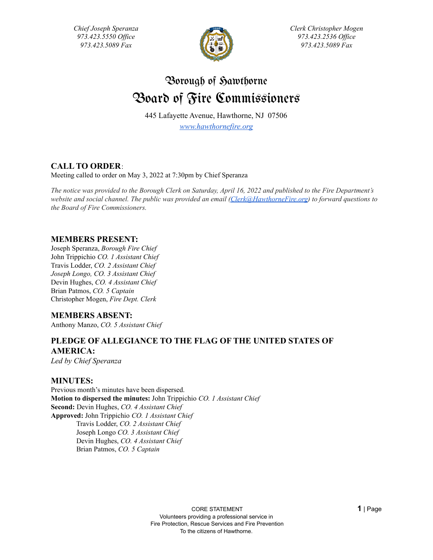*Chief Joseph Speranza 973.423.5550 Of ice 973.423.5089 Fax*



*Clerk Christopher Mogen 973.423.2536 Of ice 973.423.5089 Fax*

# Borough of Sawthorne Board of Fire Commissioners

445 Lafayette Avenue, Hawthorne, NJ 07506

*[www.hawthornefire.org](http://www.hawthornefire.org)*

# **CALL TO ORDER**:

Meeting called to order on May 3, 2022 at 7:30pm by Chief Speranza

The notice was provided to the Borough Clerk on Saturday, April 16, 2022 and published to the Fire Department's *website and social channel. The public was provided an email [\(Clerk@HawthorneFire.org](mailto:Clerk@HawthorneFire.org)) to forward questions to the Board of Fire Commissioners.*

# **MEMBERS PRESENT:**

Joseph Speranza, *Borough Fire Chief* John Trippichio *CO. 1 Assistant Chief* Travis Lodder, *CO. 2 Assistant Chief Joseph Longo, CO. 3 Assistant Chief* Devin Hughes, *CO. 4 Assistant Chief* Brian Patmos, *CO. 5 Captain* Christopher Mogen, *Fire Dept. Clerk*

# **MEMBERS ABSENT:**

Anthony Manzo, *CO. 5 Assistant Chief*

# **PLEDGE OF ALLEGIANCE TO THE FLAG OF THE UNITED STATES OF AMERICA:**

*Led by Chief Speranza*

# **MINUTES:**

Previous month's minutes have been dispersed. **Motion to dispersed the minutes:** John Trippichio *CO. 1 Assistant Chief* **Second:** Devin Hughes, *CO. 4 Assistant Chief* **Approved:** John Trippichio *CO. 1 Assistant Chief* Travis Lodder, *CO. 2 Assistant Chief* Joseph Longo *CO. 3 Assistant Chief* Devin Hughes, *CO. 4 Assistant Chief* Brian Patmos, *CO. 5 Captain*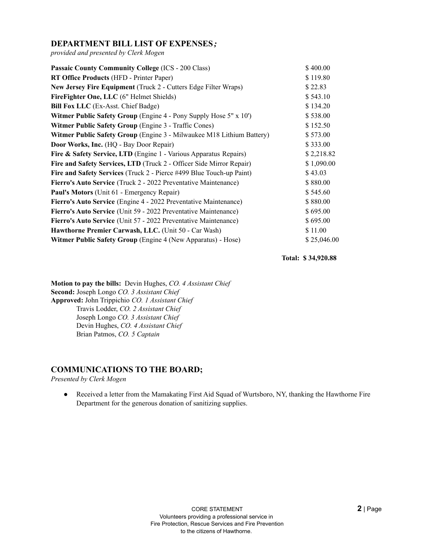# **DEPARTMENT BILL LIST OF EXPENSES***;*

*provided and presented by Clerk Mogen*

| <b>Passaic County Community College (ICS - 200 Class)</b>                | \$400.00    |
|--------------------------------------------------------------------------|-------------|
| RT Office Products (HFD - Printer Paper)                                 | \$119.80    |
| New Jersey Fire Equipment (Truck 2 - Cutters Edge Filter Wraps)          | \$22.83     |
| FireFighter One, LLC (6" Helmet Shields)                                 | \$543.10    |
| <b>Bill Fox LLC</b> (Ex-Asst. Chief Badge)                               | \$134.20    |
| <b>Witmer Public Safety Group</b> (Engine 4 - Pony Supply Hose 5" x 10") | \$538.00    |
| <b>Witmer Public Safety Group (Engine 3 - Traffic Cones)</b>             | \$152.50    |
| Witmer Public Safety Group (Engine 3 - Milwaukee M18 Lithium Battery)    | \$573.00    |
| Door Works, Inc. (HQ - Bay Door Repair)                                  | \$333.00    |
| Fire & Safety Service, LTD (Engine 1 - Various Apparatus Repairs)        | \$2,218.82  |
| Fire and Safety Services, LTD (Truck 2 - Officer Side Mirror Repair)     | \$1,090.00  |
| Fire and Safety Services (Truck 2 - Pierce #499 Blue Touch-up Paint)     | \$43.03     |
| Fierro's Auto Service (Truck 2 - 2022 Preventative Maintenance)          | \$880.00    |
| Paul's Motors (Unit 61 - Emergency Repair)                               | \$545.60    |
| Fierro's Auto Service (Engine 4 - 2022 Preventative Maintenance)         | \$880.00    |
| Fierro's Auto Service (Unit 59 - 2022 Preventative Maintenance)          | \$695.00    |
| Fierro's Auto Service (Unit 57 - 2022 Preventative Maintenance)          | \$695.00    |
| Hawthorne Premier Carwash, LLC. (Unit 50 - Car Wash)                     | \$11.00     |
| <b>Witmer Public Safety Group</b> (Engine 4 (New Apparatus) - Hose)      | \$25,046.00 |

**Total: \$ 34,920.88**

**Motion to pay the bills:** Devin Hughes, *CO. 4 Assistant Chief* **Second:** Joseph Longo *CO. 3 Assistant Chief* **Approved:** John Trippichio *CO. 1 Assistant Chief* Travis Lodder, *CO. 2 Assistant Chief* Joseph Longo *CO. 3 Assistant Chief* Devin Hughes, *CO. 4 Assistant Chief* Brian Patmos, *CO. 5 Captain*

# **COMMUNICATIONS TO THE BOARD;**

*Presented by Clerk Mogen*

● Received a letter from the Mamakating First Aid Squad of Wurtsboro, NY, thanking the Hawthorne Fire Department for the generous donation of sanitizing supplies.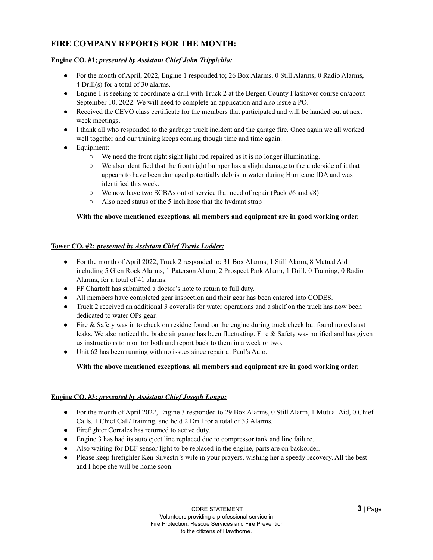# **FIRE COMPANY REPORTS FOR THE MONTH:**

## **Engine CO. #1;** *presented by Assistant Chief John Trippichio:*

- For the month of April, 2022, Engine 1 responded to; 26 Box Alarms, 0 Still Alarms, 0 Radio Alarms, 4 Drill(s) for a total of 30 alarms.
- Engine 1 is seeking to coordinate a drill with Truck 2 at the Bergen County Flashover course on/about September 10, 2022. We will need to complete an application and also issue a PO.
- Received the CEVO class certificate for the members that participated and will be handed out at next week meetings.
- I thank all who responded to the garbage truck incident and the garage fire. Once again we all worked well together and our training keeps coming though time and time again.
- Equipment:
	- $\circ$  We need the front right sight light rod repaired as it is no longer illuminating.
	- $\circ$  We also identified that the front right bumper has a slight damage to the underside of it that appears to have been damaged potentially debris in water during Hurricane IDA and was identified this week.
	- $\circ$  We now have two SCBAs out of service that need of repair (Pack #6 and #8)
	- Also need status of the 5 inch hose that the hydrant strap

#### **With the above mentioned exceptions, all members and equipment are in good working order.**

#### **Tower CO. #2;** *presented by Assistant Chief Travis Lodder:*

- For the month of April 2022, Truck 2 responded to; 31 Box Alarms, 1 Still Alarm, 8 Mutual Aid including 5 Glen Rock Alarms, 1 Paterson Alarm, 2 Prospect Park Alarm, 1 Drill, 0 Training, 0 Radio Alarms, for a total of 41 alarms.
- FF Chartoff has submitted a doctor's note to return to full duty.
- All members have completed gear inspection and their gear has been entered into CODES.
- Truck 2 received an additional 3 coveralls for water operations and a shelf on the truck has now been dedicated to water OPs gear.
- Fire & Safety was in to check on residue found on the engine during truck check but found no exhaust leaks. We also noticed the brake air gauge has been fluctuating. Fire & Safety was notified and has given us instructions to monitor both and report back to them in a week or two.
- Unit 62 has been running with no issues since repair at Paul's Auto.

#### **With the above mentioned exceptions, all members and equipment are in good working order.**

#### **Engine CO. #3;** *presented by Assistant Chief Joseph Longo:*

- For the month of April 2022, Engine 3 responded to 29 Box Alarms, 0 Still Alarm, 1 Mutual Aid, 0 Chief Calls, 1 Chief Call/Training, and held 2 Drill for a total of 33 Alarms.
- Firefighter Corrales has returned to active duty.
- Engine 3 has had its auto eject line replaced due to compressor tank and line failure.
- Also waiting for DEF sensor light to be replaced in the engine, parts are on backorder.
- Please keep firefighter Ken Silvestri's wife in your prayers, wishing her a speedy recovery. All the best and I hope she will be home soon.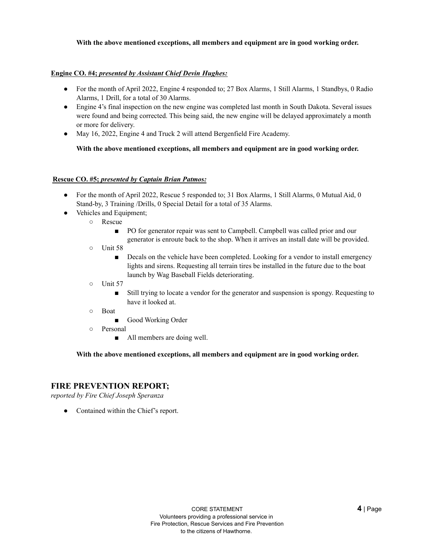#### **With the above mentioned exceptions, all members and equipment are in good working order.**

#### **Engine CO. #4;** *presented by Assistant Chief Devin Hughes:*

- For the month of April 2022, Engine 4 responded to; 27 Box Alarms, 1 Still Alarms, 1 Standbys, 0 Radio Alarms, 1 Drill, for a total of 30 Alarms.
- Engine 4's final inspection on the new engine was completed last month in South Dakota. Several issues were found and being corrected. This being said, the new engine will be delayed approximately a month or more for delivery.
- May 16, 2022, Engine 4 and Truck 2 will attend Bergenfield Fire Academy.

#### **With the above mentioned exceptions, all members and equipment are in good working order.**

#### **Rescue CO. #5;** *presented by Captain Brian Patmos:*

- For the month of April 2022, Rescue 5 responded to; 31 Box Alarms, 1 Still Alarms, 0 Mutual Aid, 0 Stand-by, 3 Training /Drills, 0 Special Detail for a total of 35 Alarms.
- Vehicles and Equipment;
	- Rescue
		- PO for generator repair was sent to Campbell. Campbell was called prior and our generator is enroute back to the shop. When it arrives an install date will be provided.
	- Unit 58
		- Decals on the vehicle have been completed. Looking for a vendor to install emergency lights and sirens. Requesting all terrain tires be installed in the future due to the boat launch by Wag Baseball Fields deteriorating.
	- Unit 57
		- Still trying to locate a vendor for the generator and suspension is spongy. Requesting to have it looked at.
	- Boat
		- Good Working Order
	- Personal
		- All members are doing well.

#### **With the above mentioned exceptions, all members and equipment are in good working order.**

## **FIRE PREVENTION REPORT;**

*reported by Fire Chief Joseph Speranza*

• Contained within the Chief's report.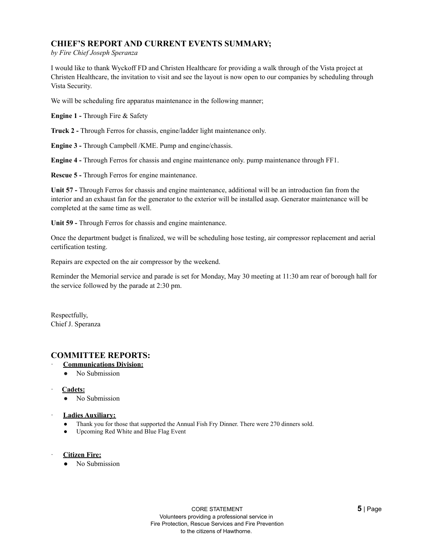# **CHIEF'S REPORT AND CURRENT EVENTS SUMMARY;**

*by Fire Chief Joseph Speranza*

I would like to thank Wyckoff FD and Christen Healthcare for providing a walk through of the Vista project at Christen Healthcare, the invitation to visit and see the layout is now open to our companies by scheduling through Vista Security.

We will be scheduling fire apparatus maintenance in the following manner;

**Engine 1 -** Through Fire & Safety

**Truck 2 -** Through Ferros for chassis, engine/ladder light maintenance only.

**Engine 3 -** Through Campbell /KME. Pump and engine/chassis.

**Engine 4 -** Through Ferros for chassis and engine maintenance only. pump maintenance through FF1.

**Rescue 5 -** Through Ferros for engine maintenance.

**Unit 57 -** Through Ferros for chassis and engine maintenance, additional will be an introduction fan from the interior and an exhaust fan for the generator to the exterior will be installed asap. Generator maintenance will be completed at the same time as well.

**Unit 59 -** Through Ferros for chassis and engine maintenance.

Once the department budget is finalized, we will be scheduling hose testing, air compressor replacement and aerial certification testing.

Repairs are expected on the air compressor by the weekend.

Reminder the Memorial service and parade is set for Monday, May 30 meeting at 11:30 am rear of borough hall for the service followed by the parade at 2:30 pm.

Respectfully, Chief J. Speranza

## **COMMITTEE REPORTS:**

- · **Communications Division:**
	- No Submission
- · **Cadets:**
	- No Submission
- · **Ladies Auxiliary:**
	- Thank you for those that supported the Annual Fish Fry Dinner. There were 270 dinners sold.
	- Upcoming Red White and Blue Flag Event
- · **Citizen Fire:**
	- No Submission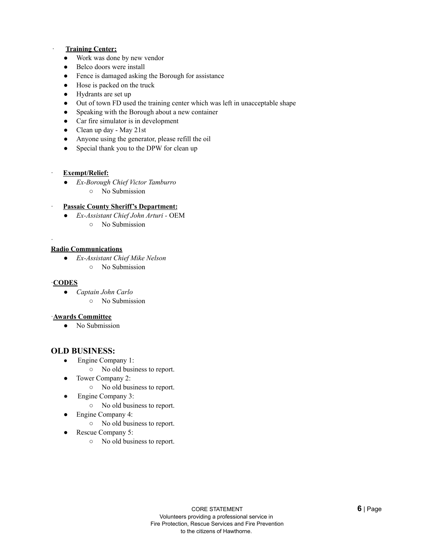#### · **Training Center:**

- Work was done by new vendor
- Belco doors were install
- Fence is damaged asking the Borough for assistance
- Hose is packed on the truck
- Hydrants are set up
- Out of town FD used the training center which was left in unacceptable shape
- Speaking with the Borough about a new container
- Car fire simulator is in development
- Clean up day May 21st
- Anyone using the generator, please refill the oil
- Special thank you to the DPW for clean up

#### · **Exempt/Relief:**

- *Ex-Borough Chief Victor Tamburro*
	- No Submission

#### · **Passaic County Sheriff's Department:**

- *Ex-Assistant Chief John Arturi -* OEM
	- No Submission

#### **Radio Communications**

- *Ex-Assistant Chief Mike Nelson*
	- No Submission

#### ·**CODES**

·

- *Captain John Carlo*
	- No Submission

#### ·**Awards Committee**

● No Submission

#### **OLD BUSINESS:**

- Engine Company 1:
	- No old business to report.
- Tower Company 2:
	- No old business to report.
- Engine Company 3:
	- No old business to report.
	- Engine Company 4:
		- No old business to report.
- Rescue Company 5:
	- No old business to report.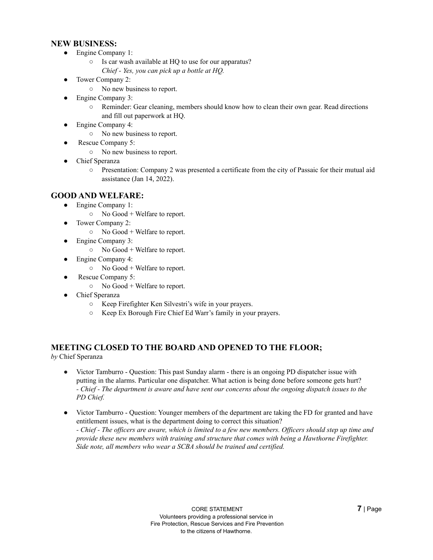## **NEW BUSINESS:**

- Engine Company 1:
	- Is car wash available at HQ to use for our apparatus?
		- *Chief - Yes, you can pick up a bottle at HQ.*
- Tower Company 2:
	- No new business to report.
- Engine Company 3:
	- Reminder: Gear cleaning, members should know how to clean their own gear. Read directions and fill out paperwork at HQ.
- Engine Company 4:
	- No new business to report.
- Rescue Company 5:
	- No new business to report.
- **Chief Speranza** 
	- Presentation: Company 2 was presented a certificate from the city of Passaic for their mutual aid assistance (Jan 14, 2022).

## **GOOD AND WELFARE:**

- Engine Company 1:
	- No Good + Welfare to report.
- Tower Company 2:
	- No Good + Welfare to report.
- Engine Company 3:
	- $\circ$  No Good + Welfare to report.
- Engine Company 4:
	- No Good + Welfare to report.
- Rescue Company 5:
	- $\circ$  No Good + Welfare to report.
- **Chief Speranza** 
	- Keep Firefighter Ken Silvestri's wife in your prayers.
	- Keep Ex Borough Fire Chief Ed Warr's family in your prayers.

# **MEETING CLOSED TO THE BOARD AND OPENED TO THE FLOOR;**

*by* Chief Speranza

- Victor Tamburro Question: This past Sunday alarm there is an ongoing PD dispatcher issue with putting in the alarms. Particular one dispatcher. What action is being done before someone gets hurt? - Chief - The department is aware and have sent our concerns about the ongoing dispatch issues to the *PD Chief.*
- *●* Victor Tamburro Question: Younger members of the department are taking the FD for granted and have entitlement issues, what is the department doing to correct this situation? - Chief - The officers are aware, which is limited to a few new members. Officers should step up time and *provide these new members with training and structure that comes with being a Hawthorne Firefighter. Side note, all members who wear a SCBA should be trained and certified.*